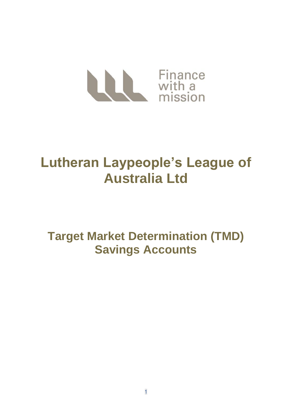

# **Lutheran Laypeople's League of Australia Ltd**

**Target Market Determination (TMD) Savings Accounts**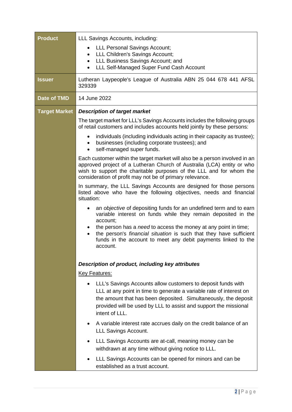| <b>Product</b>       | LLL Savings Accounts, including:                                                                                                                                                                                                                                                         |
|----------------------|------------------------------------------------------------------------------------------------------------------------------------------------------------------------------------------------------------------------------------------------------------------------------------------|
|                      | <b>LLL Personal Savings Account;</b>                                                                                                                                                                                                                                                     |
|                      | LLL Children's Savings Account;<br>LLL Business Savings Account; and<br>$\bullet$                                                                                                                                                                                                        |
|                      | LLL Self-Managed Super Fund Cash Account                                                                                                                                                                                                                                                 |
| <b>Issuer</b>        | Lutheran Laypeople's League of Australia ABN 25 044 678 441 AFSL<br>329339                                                                                                                                                                                                               |
| Date of TMD          | 14 June 2022                                                                                                                                                                                                                                                                             |
| <b>Target Market</b> | <b>Description of target market</b>                                                                                                                                                                                                                                                      |
|                      | The target market for LLL's Savings Accounts includes the following groups<br>of retail customers and includes accounts held jointly by these persons:                                                                                                                                   |
|                      | individuals (including individuals acting in their capacity as trustee);<br>businesses (including corporate trustees); and<br>self-managed super funds.<br>$\bullet$                                                                                                                     |
|                      | Each customer within the target market will also be a person involved in an<br>approved project of a Lutheran Church of Australia (LCA) entity or who<br>wish to support the charitable purposes of the LLL and for whom the<br>consideration of profit may not be of primary relevance. |
|                      | In summary, the LLL Savings Accounts are designed for those persons<br>listed above who have the following objectives, needs and financial<br>situation:                                                                                                                                 |
|                      | an objective of depositing funds for an undefined term and to earn<br>variable interest on funds while they remain deposited in the<br>account;                                                                                                                                          |
|                      | the person has a need to access the money at any point in time;<br>the person's <i>financial situation</i> is such that they have sufficient<br>funds in the account to meet any debit payments linked to the<br>account.                                                                |
|                      | Description of product, including key attributes                                                                                                                                                                                                                                         |
|                      | <b>Key Features:</b>                                                                                                                                                                                                                                                                     |
|                      | LLL's Savings Accounts allow customers to deposit funds with                                                                                                                                                                                                                             |
|                      | LLL at any point in time to generate a variable rate of interest on<br>the amount that has been deposited. Simultaneously, the deposit<br>provided will be used by LLL to assist and support the missional<br>intent of LLL.                                                             |
|                      | A variable interest rate accrues daily on the credit balance of an<br>LLL Savings Account.                                                                                                                                                                                               |
|                      | LLL Savings Accounts are at-call, meaning money can be<br>withdrawn at any time without giving notice to LLL.                                                                                                                                                                            |
|                      | LLL Savings Accounts can be opened for minors and can be<br>established as a trust account.                                                                                                                                                                                              |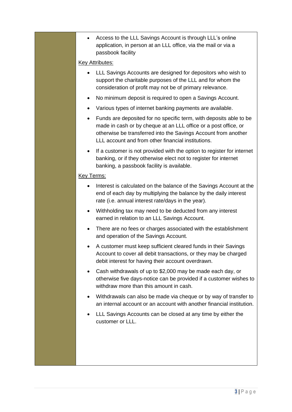• Access to the LLL Savings Account is through LLL's online application, in person at an LLL office, via the mail or via a passbook facility

# Key Attributes:

- LLL Savings Accounts are designed for depositors who wish to support the charitable purposes of the LLL and for whom the consideration of profit may not be of primary relevance.
- No minimum deposit is required to open a Savings Account.
- Various types of internet banking payments are available.
- Funds are deposited for no specific term, with deposits able to be made in cash or by cheque at an LLL office or a post office, or otherwise be transferred into the Savings Account from another LLL account and from other financial institutions.
- If a customer is not provided with the option to register for internet banking, or if they otherwise elect not to register for internet banking, a passbook facility is available.

# Key Terms:

- Interest is calculated on the balance of the Savings Account at the end of each day by multiplying the balance by the daily interest rate (i.e. annual interest rate/days in the year).
- Withholding tax may need to be deducted from any interest earned in relation to an LLL Savings Account.
- There are no fees or charges associated with the establishment and operation of the Savings Account.
- A customer must keep sufficient cleared funds in their Savings Account to cover all debit transactions, or they may be charged debit interest for having their account overdrawn.
- Cash withdrawals of up to \$2,000 may be made each day, or otherwise five days-notice can be provided if a customer wishes to withdraw more than this amount in cash.
- Withdrawals can also be made via cheque or by way of transfer to an internal account or an account with another financial institution.
- LLL Savings Accounts can be closed at any time by either the customer or LLL.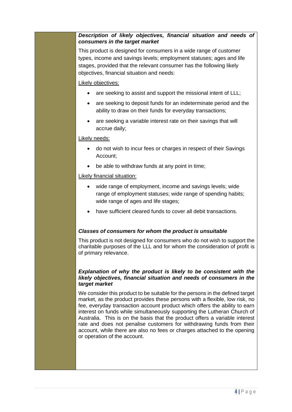## *Description of likely objectives, financial situation and needs of consumers in the target market*

This product is designed for consumers in a wide range of customer types, income and savings levels; employment statuses; ages and life stages, provided that the relevant consumer has the following likely objectives, financial situation and needs:

## Likely objectives:

- are seeking to assist and support the missional intent of LLL;
- are seeking to deposit funds for an indeterminate period and the ability to draw on their funds for everyday transactions;
- are seeking a variable interest rate on their savings that will accrue daily;

#### Likely needs:

- do not wish to incur fees or charges in respect of their Savings Account;
- be able to withdraw funds at any point in time;

## Likely financial situation:

- wide range of employment, income and savings levels; wide range of employment statuses; wide range of spending habits; wide range of ages and life stages:
- have sufficient cleared funds to cover all debit transactions.

## *Classes of consumers for whom the product is unsuitable*

This product is not designed for consumers who do not wish to support the charitable purposes of the LLL and for whom the consideration of profit is of primary relevance.

#### *Explanation of why the product is likely to be consistent with the likely objectives, financial situation and needs of consumers in the target market*

We consider this product to be suitable for the persons in the defined target market, as the product provides these persons with a flexible, low risk, no fee, everyday transaction account product which offers the ability to earn interest on funds while simultaneously supporting the Lutheran Church of Australia. This is on the basis that the product offers a variable interest rate and does not penalise customers for withdrawing funds from their account, while there are also no fees or charges attached to the opening or operation of the account.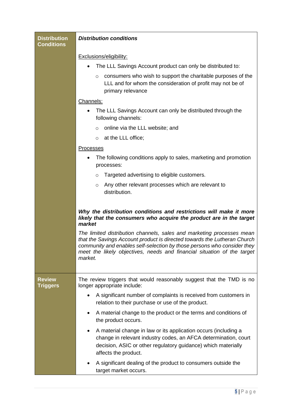| <b>Distribution</b><br><b>Conditions</b> | <b>Distribution conditions</b>                                                                                                                                                                                                                                                                                                                                                                                                                                            |
|------------------------------------------|---------------------------------------------------------------------------------------------------------------------------------------------------------------------------------------------------------------------------------------------------------------------------------------------------------------------------------------------------------------------------------------------------------------------------------------------------------------------------|
|                                          | Exclusions/eligibility:                                                                                                                                                                                                                                                                                                                                                                                                                                                   |
|                                          | The LLL Savings Account product can only be distributed to:                                                                                                                                                                                                                                                                                                                                                                                                               |
|                                          | consumers who wish to support the charitable purposes of the<br>$\circ$<br>LLL and for whom the consideration of profit may not be of<br>primary relevance                                                                                                                                                                                                                                                                                                                |
|                                          | Channels:                                                                                                                                                                                                                                                                                                                                                                                                                                                                 |
|                                          | The LLL Savings Account can only be distributed through the<br>following channels:                                                                                                                                                                                                                                                                                                                                                                                        |
|                                          | online via the LLL website; and<br>$\Omega$                                                                                                                                                                                                                                                                                                                                                                                                                               |
|                                          | at the LLL office;<br>$\circ$                                                                                                                                                                                                                                                                                                                                                                                                                                             |
|                                          | <b>Processes</b>                                                                                                                                                                                                                                                                                                                                                                                                                                                          |
|                                          | The following conditions apply to sales, marketing and promotion<br>processes:                                                                                                                                                                                                                                                                                                                                                                                            |
|                                          | Targeted advertising to eligible customers.<br>$\circ$                                                                                                                                                                                                                                                                                                                                                                                                                    |
|                                          | Any other relevant processes which are relevant to<br>$\circ$<br>distribution.                                                                                                                                                                                                                                                                                                                                                                                            |
|                                          | Why the distribution conditions and restrictions will make it more<br>likely that the consumers who acquire the product are in the target<br>market<br>The limited distribution channels, sales and marketing processes mean<br>that the Savings Account product is directed towards the Lutheran Church<br>community and enables self-selection by those persons who consider they<br>meet the likely objectives, needs and financial situation of the target<br>market. |
| <b>Review</b><br><b>Triggers</b>         | The review triggers that would reasonably suggest that the TMD is no<br>longer appropriate include:                                                                                                                                                                                                                                                                                                                                                                       |
|                                          | A significant number of complaints is received from customers in<br>relation to their purchase or use of the product.                                                                                                                                                                                                                                                                                                                                                     |
|                                          | A material change to the product or the terms and conditions of<br>the product occurs.                                                                                                                                                                                                                                                                                                                                                                                    |
|                                          | A material change in law or its application occurs (including a<br>change in relevant industry codes, an AFCA determination, court<br>decision, ASIC or other regulatory guidance) which materially<br>affects the product.                                                                                                                                                                                                                                               |
|                                          | A significant dealing of the product to consumers outside the<br>target market occurs.                                                                                                                                                                                                                                                                                                                                                                                    |